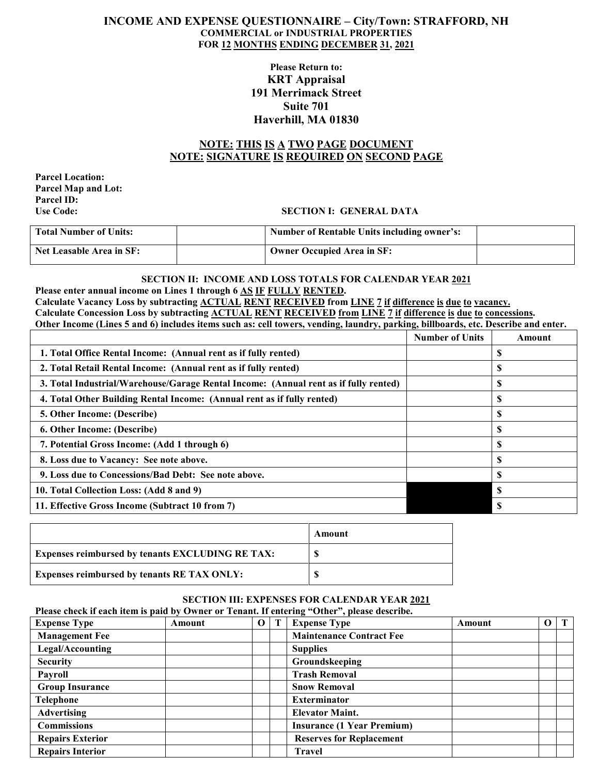## **INCOME AND EXPENSE QUESTIONNAIRE – City/Town: STRAFFORD, NH COMMERCIAL or INDUSTRIAL PROPERTIES FOR 12 MONTHS ENDING DECEMBER 31, 2021**

# **Please Return to: KRT Appraisal 191 Merrimack Street Suite 701 Haverhill, MA 01830**

# **NOTE: THIS IS A TWO PAGE DOCUMENT NOTE: SIGNATURE IS REQUIRED ON SECOND PAGE**

**Parcel Location: Parcel Map and Lot: Parcel ID:**

## **SECTION I: GENERAL DATA**

| <b>Total Number of Units:</b> | <b>Number of Rentable Units including owner's:</b> |  |
|-------------------------------|----------------------------------------------------|--|
| Net Leasable Area in SF:      | <b>Owner Occupied Area in SF:</b>                  |  |

#### **SECTION II: INCOME AND LOSS TOTALS FOR CALENDAR YEAR 2021 Please enter annual income on Lines 1 through 6 AS IF FULLY RENTED.**

**Calculate Vacancy Loss by subtracting ACTUAL RENT RECEIVED from LINE 7 if difference is due to vacancy. Calculate Concession Loss by subtracting ACTUAL RENT RECEIVED from LINE 7 if difference is due to concessions. Other Income (Lines 5 and 6) includes items such as: cell towers, vending, laundry, parking, billboards, etc. Describe and enter.**

|                                                                                      | <b>Number of Units</b> | Amount |
|--------------------------------------------------------------------------------------|------------------------|--------|
| 1. Total Office Rental Income: (Annual rent as if fully rented)                      |                        | S      |
| 2. Total Retail Rental Income: (Annual rent as if fully rented)                      |                        | D      |
| 3. Total Industrial/Warehouse/Garage Rental Income: (Annual rent as if fully rented) |                        | ъ      |
| 4. Total Other Building Rental Income: (Annual rent as if fully rented)              |                        | \$     |
| 5. Other Income: (Describe)                                                          |                        | S      |
| 6. Other Income: (Describe)                                                          |                        |        |
| 7. Potential Gross Income: (Add 1 through 6)                                         |                        |        |
| 8. Loss due to Vacancy: See note above.                                              |                        | S      |
| 9. Loss due to Concessions/Bad Debt: See note above.                                 |                        | S      |
| 10. Total Collection Loss: (Add 8 and 9)                                             |                        |        |
| 11. Effective Gross Income (Subtract 10 from 7)                                      |                        |        |

|                                                         | Amount |
|---------------------------------------------------------|--------|
| <b>Expenses reimbursed by tenants EXCLUDING RE TAX:</b> |        |
| <b>Expenses reimbursed by tenants RE TAX ONLY:</b>      | S      |

# **SECTION III: EXPENSES FOR CALENDAR YEAR 2021**

**Please check if each item is paid by Owner or Tenant. If entering "Other", please describe.**

| <b>Expense Type</b>     | Amount | $\bf{0}$ | T | <b>Expense Type</b>               | Amount | $\mathbf 0$ | $\mathbf T$ |
|-------------------------|--------|----------|---|-----------------------------------|--------|-------------|-------------|
| <b>Management Fee</b>   |        |          |   | <b>Maintenance Contract Fee</b>   |        |             |             |
| Legal/Accounting        |        |          |   | <b>Supplies</b>                   |        |             |             |
| <b>Security</b>         |        |          |   | Groundskeeping                    |        |             |             |
| Pavroll                 |        |          |   | <b>Trash Removal</b>              |        |             |             |
| <b>Group Insurance</b>  |        |          |   | <b>Snow Removal</b>               |        |             |             |
| <b>Telephone</b>        |        |          |   | <b>Exterminator</b>               |        |             |             |
| <b>Advertising</b>      |        |          |   | <b>Elevator Maint.</b>            |        |             |             |
| <b>Commissions</b>      |        |          |   | <b>Insurance (1 Year Premium)</b> |        |             |             |
| <b>Repairs Exterior</b> |        |          |   | <b>Reserves for Replacement</b>   |        |             |             |
| <b>Repairs Interior</b> |        |          |   | <b>Travel</b>                     |        |             |             |